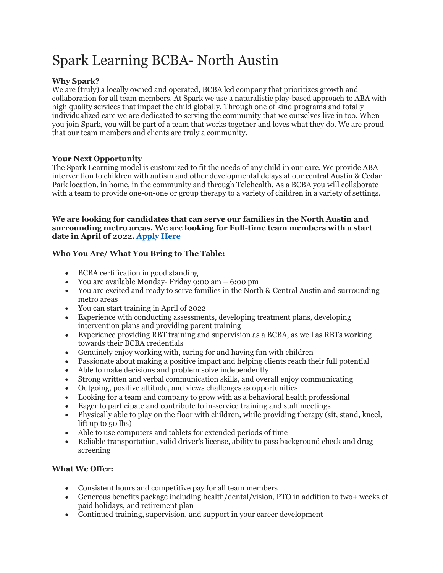# Spark Learning BCBA- North Austin

## **Why Spark?**

We are (truly) a locally owned and operated, BCBA led company that prioritizes growth and collaboration for all team members. At Spark we use a naturalistic play-based approach to ABA with high quality services that impact the child globally. Through one of kind programs and totally individualized care we are dedicated to serving the community that we ourselves live in too. When you join Spark, you will be part of a team that works together and loves what they do. We are proud that our team members and clients are truly a community.

## **Your Next Opportunity**

The Spark Learning model is customized to fit the needs of any child in our care. We provide ABA intervention to children with autism and other developmental delays at our central Austin & Cedar Park location, in home, in the community and through Telehealth. As a BCBA you will collaborate with a team to provide one-on-one or group therapy to a variety of children in a variety of settings.

#### **We are looking for candidates that can serve our families in the North Austin and surrounding metro areas. We are looking for Full-time team members with a start date in April of 2022. [Apply Here](https://recruiting.paylocity.com/recruiting/jobs/Apply/610261/Spark-Learning-LLC/Full-Time-Board-Certified-Behavior-Analyst-BCBA)**

## **Who You Are/ What You Bring to The Table:**

- BCBA certification in good standing
- You are available Monday- Friday 9:00 am 6:00 pm
- You are excited and ready to serve families in the North & Central Austin and surrounding metro areas
- You can start training in April of 2022
- Experience with conducting assessments, developing treatment plans, developing intervention plans and providing parent training
- Experience providing RBT training and supervision as a BCBA, as well as RBTs working towards their BCBA credentials
- Genuinely enjoy working with, caring for and having fun with children
- Passionate about making a positive impact and helping clients reach their full potential
- Able to make decisions and problem solve independently
- Strong written and verbal communication skills, and overall enjoy communicating
- Outgoing, positive attitude, and views challenges as opportunities
- Looking for a team and company to grow with as a behavioral health professional
- Eager to participate and contribute to in-service training and staff meetings
- Physically able to play on the floor with children, while providing therapy (sit, stand, kneel, lift up to 50 lbs)
- Able to use computers and tablets for extended periods of time
- Reliable transportation, valid driver's license, ability to pass background check and drug screening

## **What We Offer:**

- Consistent hours and competitive pay for all team members
- Generous benefits package including health/dental/vision, PTO in addition to two+ weeks of paid holidays, and retirement plan
- Continued training, supervision, and support in your career development